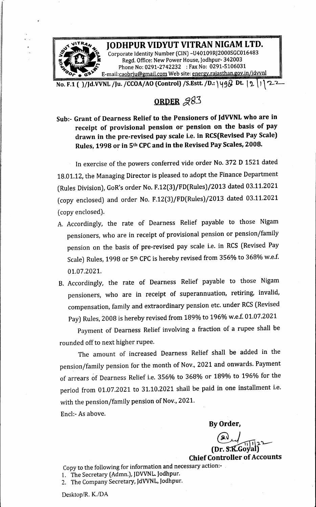

No. F-1( )/Jd.VVNL /Ju. /CCOA/AO (Control)/S.Estt. /D.:\49Q Dt. [> 1 ຕ\_2

## ORDER 283

Sub:- Grant of Dearness Relief to the Pensioners of JdVVNL who are in receipt of provisional pension or pension on the basis of pay drawn in the pre-revised pay scale i.e. in RCS(Revised Pay Scale) Rules, <sup>1998</sup> or in 5th CPC and in the Revised Pay Scales, 2008.

In exercise of the powers conferred vide order No. <sup>372</sup> <sup>D</sup> <sup>1521</sup> dated 18.01.12, the Managing Director is pleased to adopt the Finance Department (Rules Division), GoR's order No. F.12(3)/FD(Rules)/2013 dated 03.11.2021 (copy enclosed) and order No. F.12(3)/FD(Rules)/2013 dated 03.11.2021 (copy enclosed).

- A. Accordingly, the rate of Dearness Relief payable to those Nigam pensioners, who are in receipt of provisional pension or pension/family pension on the basis of pre-revised pay scale i.e. in RCS (Revised Pay Scale) Rules, <sup>1998</sup> or Sth CPC is hereby revised from 356% to 368% w.e.f. 01.07.2021.
- B. Accordingly, the rate of Dearness Relief payable to those Nigam pensioners, who are in receipt of superannuation, retiring, invalid, compensation, family and extraordinary pension etc. under RCS (Revised Pay) Rules, <sup>2008</sup> is hereby revised from 189% to 196% wef. 01.07.2021

Payment of Dearness Relief involving <sup>a</sup> fraction of <sup>a</sup> rupee shall be rounded off to next higher rupee.

The amount of increased Dearness Relief shall be added in the pension/family pension for the month of Nov., <sup>2021</sup> and onwards. Payment of arrears of Dearness Relief i.e. 356% to 368% or 189% to 196% for the period from 01.07.2021 to 31.10.2021 shall be paid in one installment i.e. with the pension/family pension of Nov., 2021.

Encl:- As above.

By Order,

 $\Omega_{\mu}$ (Dr. S.K.Goyal)

**Chief Controller of Accounts** 

Copy to the following for information and necessary action:- . 1. The Secretary (Admn.), JDVVNL. Jodhpur.

2. The Company Secretary, JdVVNL, Jodhpur.

Desktop/R. K./DA